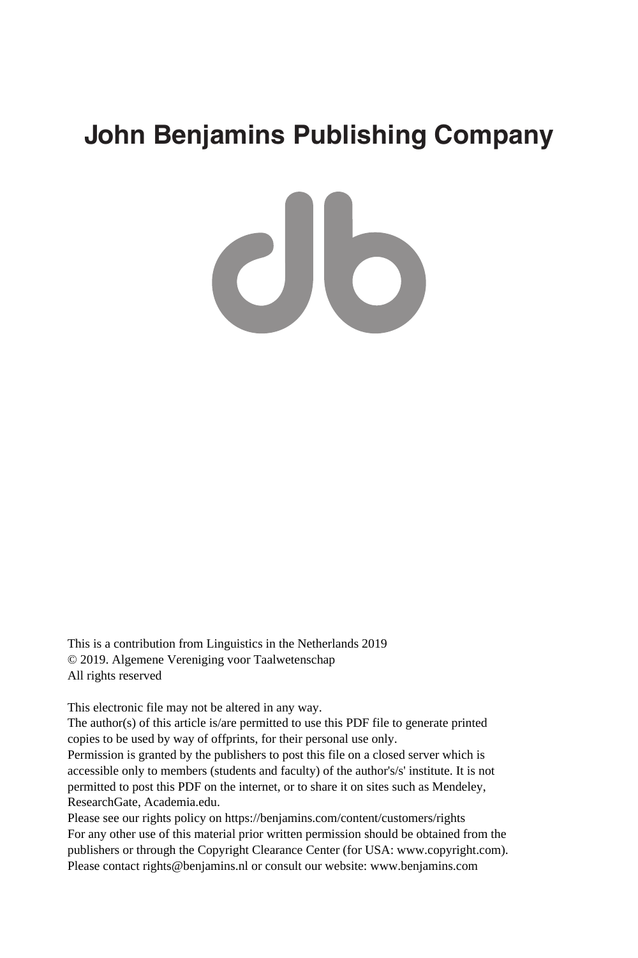# **John Benjamins Publishing Company**

 $c$ lo

This is a contribution from Linguistics in the Netherlands 2019 © 2019. Algemene Vereniging voor Taalwetenschap All rights reserved

This electronic file may not be altered in any way.

The author(s) of this article is/are permitted to use this PDF file to generate printed copies to be used by way of offprints, for their personal use only.

Permission is granted by the publishers to post this file on a closed server which is accessible only to members (students and faculty) of the author's/s' institute. It is not permitted to post this PDF on the internet, or to share it on sites such as Mendeley, ResearchGate, Academia.edu.

Please see our rights policy on https://benjamins.com/content/customers/rights For any other use of this material prior written permission should be obtained from the publishers or through the Copyright Clearance Center (for USA: www.copyright.com). Please contact rights@benjamins.nl or consult our website: www.benjamins.com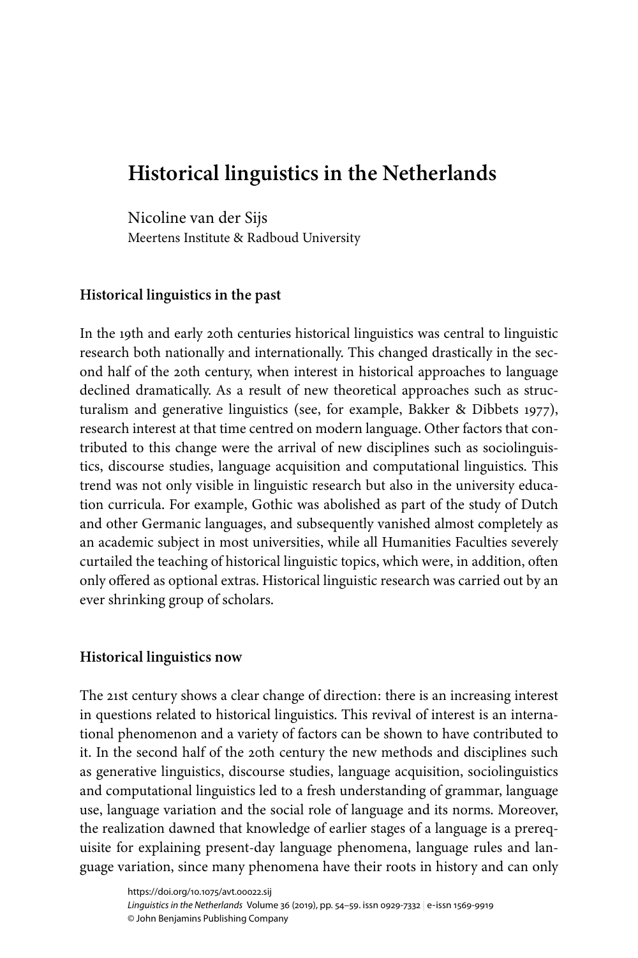# **Historical linguistics in the Netherlands**

Nicoline van der Sijs Meertens Institute & Radboud University

# **Historical linguistics in the past**

In the 19th and early 20th centuries historical linguistics was central to linguistic research both nationally and internationally. This changed drastically in the second half of the 20th century, when interest in historical approaches to language declined dramatically. As a result of new theoretical approaches such as structuralism and generative linguistics (see, for example, Bakker & [Dibbets](#page-5-0) 1977), research interest at that time centred on modern language. Other factors that contributed to this change were the arrival of new disciplines such as sociolinguistics, discourse studies, language acquisition and computational linguistics. This trend was not only visible in linguistic research but also in the university education curricula. For example, Gothic was abolished as part of the study of Dutch and other Germanic languages, and subsequently vanished almost completely as an academic subject in most universities, while all Humanities Faculties severely curtailed the teaching of historical linguistic topics, which were, in addition, often only offered as optional extras. Historical linguistic research was carried out by an ever shrinking group of scholars.

# **Historical linguistics now**

The 21st century shows a clear change of direction: there is an increasing interest in questions related to historical linguistics. This revival of interest is an international phenomenon and a variety of factors can be shown to have contributed to it. In the second half of the 20th century the new methods and disciplines such as generative linguistics, discourse studies, language acquisition, sociolinguistics and computational linguistics led to a fresh understanding of grammar, language use, language variation and the social role of language and its norms. Moreover, the realization dawned that knowledge of earlier stages of a language is a prerequisite for explaining present-day language phenomena, language rules and language variation, since many phenomena have their roots in history and can only

<https://doi.org/10.1075/avt.00022.sij> *Linguistics in the Netherlands* Volume 36 (2019), pp. 54[–59](#page-6-0). issn 0929-7332 | e‑issn 1569-9919 © John Benjamins Publishing Company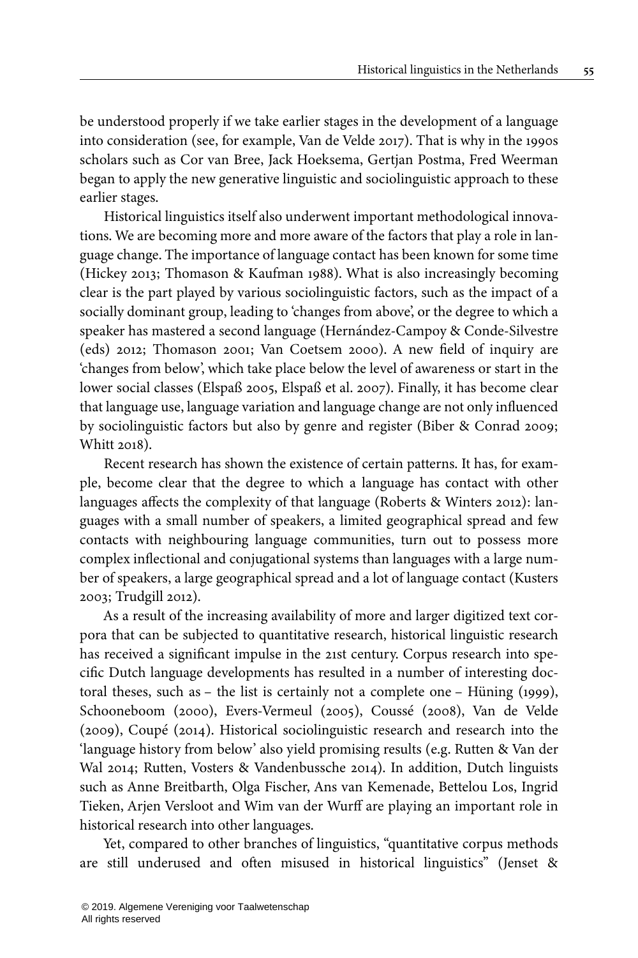be understood properly if we take earlier stages in the development of a language into consideration (see, for example, Van de [Velde](#page-6-1) 2017). That is why in the 1990s scholars such as Cor van Bree, Jack Hoeksema, Gertjan Postma, Fred Weerman began to apply the new generative linguistic and sociolinguistic approach to these earlier stages.

Historical linguistics itself also underwent important methodological innovations. We are becoming more and more aware of the factors that play a role in language change. The importance of language contact has been known for some time [\(Hickey](#page-6-2) 2013; [Thomason](#page-6-3) & Kaufman 1988). What is also increasingly becoming clear is the part played by various sociolinguistic factors, such as the impact of a socially dominant group, leading to 'changes from above', or the degree to which a speaker has mastered a second language [\(Hernández-Campoy](#page-5-1) & Conde-Silvestre [\(eds\)](#page-5-1) 2012; [Thomason](#page-6-4) 2001; Van [Coetsem](#page-6-5) 2000). A new field of inquiry are 'changes from below', which take place below the level of awareness or start in the lower social classes ([Elspaß](#page-5-2) 2005, [Elspaß](#page-5-3) et al. 2007). Finally, it has become clear that language use, language variation and language change are not only influenced by sociolinguistic factors but also by genre and register (Biber & [Conrad](#page-5-4) 2009; [Whitt 2018](#page-6-6)).

Recent research has shown the existence of certain patterns. It has, for example, become clear that the degree to which a language has contact with other languages affects the complexity of that language (Roberts & [Winters](#page-6-7) 2012): languages with a small number of speakers, a limited geographical spread and few contacts with neighbouring language communities, turn out to possess more complex inflectional and conjugational systems than languages with a large number of speakers, a large geographical spread and a lot of language contact ([Kusters](#page-6-8) [2003;](#page-6-8) [Trudgill 2012\)](#page-6-9).

As a result of the increasing availability of more and larger digitized text corpora that can be subjected to quantitative research, historical linguistic research has received a significant impulse in the 21st century. Corpus research into specific Dutch language developments has resulted in a number of interesting doctoral theses, such as – the list is certainly not a complete one – [Hüning](#page-6-10) (1999), [Schooneboom](#page-6-11) (2000), [Evers-Vermeul](#page-5-5) (2005), [Coussé](#page-5-6) (2008), Van de [Velde](#page-6-12) [\(2009\)](#page-6-12), [Coupé](#page-5-7) (2014). Historical sociolinguistic research and research into the 'language history from below' also yield promising results (e.g. [Rutten](#page-6-13) & Van der Wal [2014](#page-6-13); Rutten, Vosters & [Vandenbussche](#page-6-14) 2014). In addition, Dutch linguists such as Anne Breitbarth, Olga Fischer, Ans van Kemenade, Bettelou Los, Ingrid Tieken, Arjen Versloot and Wim van der Wurff are playing an important role in historical research into other languages.

Yet, compared to other branches of linguistics, "quantitative corpus methods are still underused and often misused in historical linguistics" ([Jenset](#page-6-15) &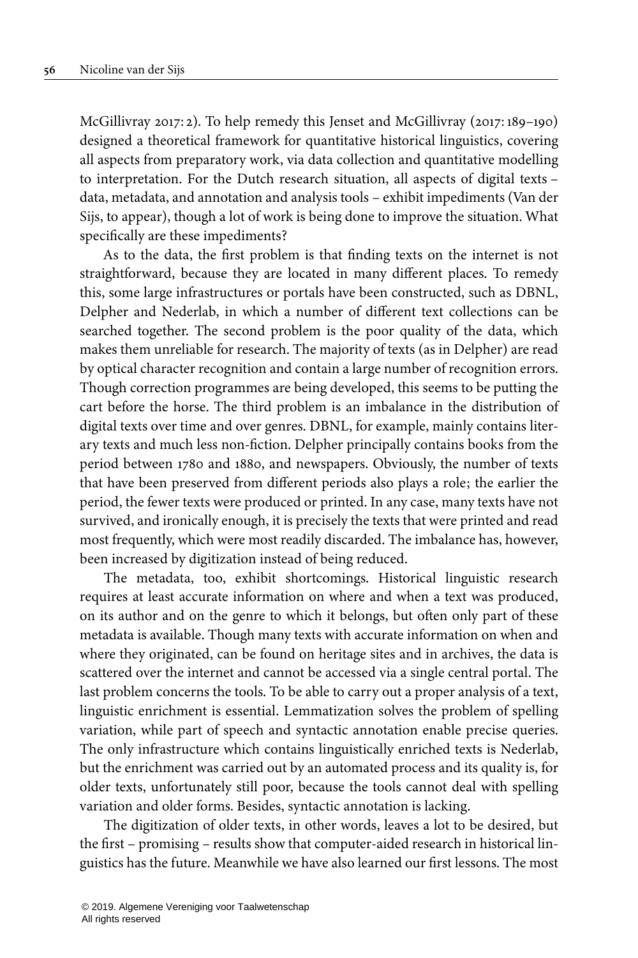[McGillivray](#page-6-15) 2017: 2). To help remedy this Jenset and McGillivray ([2017](#page-6-15):189–190) designed a theoretical framework for quantitative historical linguistics, covering all aspects from preparatory work, via data collection and quantitative modelling to interpretation. For the Dutch research situation, all aspects of digital texts – data, metadata, and annotation and analysis tools – exhibit impediments ([Van](#page-6-16) der Sijs, to [appear](#page-6-16)), though a lot of work is being done to improve the situation. What specifically are these impediments?

As to the data, the first problem is that finding texts on the internet is not straightforward, because they are located in many different places. To remedy this, some large infrastructures or portals have been constructed, such as DBNL, Delpher and Nederlab, in which a number of different text collections can be searched together. The second problem is the poor quality of the data, which makes them unreliable for research. The majority of texts (as in Delpher) are read by optical character recognition and contain a large number of recognition errors. Though correction programmes are being developed, this seems to be putting the cart before the horse. The third problem is an imbalance in the distribution of digital texts over time and over genres. DBNL, for example, mainly contains literary texts and much less non-fiction. Delpher principally contains books from the period between 1780 and 1880, and newspapers. Obviously, the number of texts that have been preserved from different periods also plays a role; the earlier the period, the fewer texts were produced or printed. In any case, many texts have not survived, and ironically enough, it is precisely the texts that were printed and read most frequently, which were most readily discarded. The imbalance has, however, been increased by digitization instead of being reduced.

The metadata, too, exhibit shortcomings. Historical linguistic research requires at least accurate information on where and when a text was produced, on its author and on the genre to which it belongs, but often only part of these metadata is available. Though many texts with accurate information on when and where they originated, can be found on heritage sites and in archives, the data is scattered over the internet and cannot be accessed via a single central portal. The last problem concerns the tools. To be able to carry out a proper analysis of a text, linguistic enrichment is essential. Lemmatization solves the problem of spelling variation, while part of speech and syntactic annotation enable precise queries. The only infrastructure which contains linguistically enriched texts is Nederlab, but the enrichment was carried out by an automated process and its quality is, for older texts, unfortunately still poor, because the tools cannot deal with spelling variation and older forms. Besides, syntactic annotation is lacking.

The digitization of older texts, in other words, leaves a lot to be desired, but the first – promising – results show that computer-aided research in historical linguistics has the future. Meanwhile we have also learned our first lessons. The most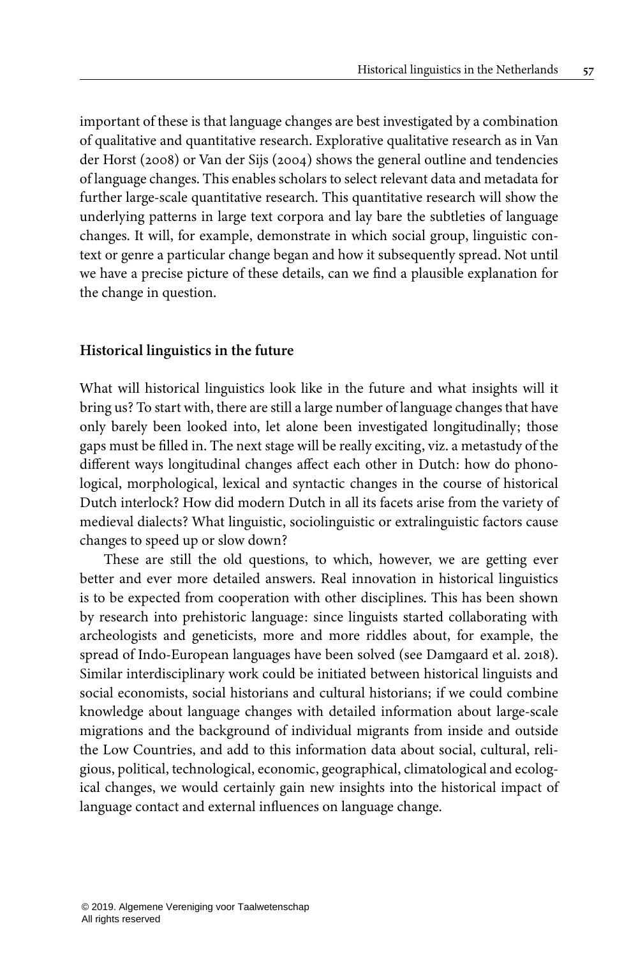important of these is that language changes are best investigated by a combination of qualitative and quantitative research. Explorative qualitative research as in [Van](#page-6-17) der Horst [\(2008\)](#page-6-17) or Van der Sijs [\(2004\)](#page-6-18) shows the general outline and tendencies of language changes. This enables scholars to select relevant data and metadata for further large-scale quantitative research. This quantitative research will show the underlying patterns in large text corpora and lay bare the subtleties of language changes. It will, for example, demonstrate in which social group, linguistic context or genre a particular change began and how it subsequently spread. Not until we have a precise picture of these details, can we find a plausible explanation for the change in question.

#### **Historical linguistics in the future**

What will historical linguistics look like in the future and what insights will it bring us? To start with, there are still a large number of language changes that have only barely been looked into, let alone been investigated longitudinally; those gaps must be filled in. The next stage will be really exciting, viz. a metastudy of the different ways longitudinal changes affect each other in Dutch: how do phonological, morphological, lexical and syntactic changes in the course of historical Dutch interlock? How did modern Dutch in all its facets arise from the variety of medieval dialects? What linguistic, sociolinguistic or extralinguistic factors cause changes to speed up or slow down?

These are still the old questions, to which, however, we are getting ever better and ever more detailed answers. Real innovation in historical linguistics is to be expected from cooperation with other disciplines. This has been shown by research into prehistoric language: since linguists started collaborating with archeologists and geneticists, more and more riddles about, for example, the spread of Indo-European languages have been solved (see [Damgaard](#page-5-8) et al. 2018). Similar interdisciplinary work could be initiated between historical linguists and social economists, social historians and cultural historians; if we could combine knowledge about language changes with detailed information about large-scale migrations and the background of individual migrants from inside and outside the Low Countries, and add to this information data about social, cultural, religious, political, technological, economic, geographical, climatological and ecological changes, we would certainly gain new insights into the historical impact of language contact and external influences on language change.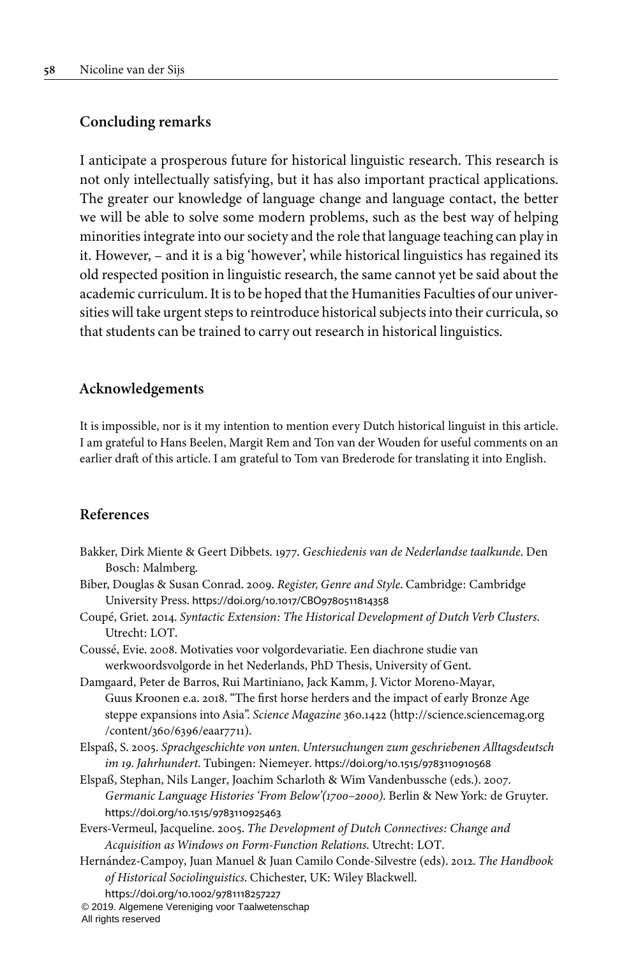# **Concluding remarks**

I anticipate a prosperous future for historical linguistic research. This research is not only intellectually satisfying, but it has also important practical applications. The greater our knowledge of language change and language contact, the better we will be able to solve some modern problems, such as the best way of helping minorities integrate into our society and the role that language teaching can play in it. However, – and it is a big 'however', while historical linguistics has regained its old respected position in linguistic research, the same cannot yet be said about the academic curriculum. It is to be hoped that the Humanities Faculties of our universities will take urgent steps to reintroduce historical subjects into their curricula, so that students can be trained to carry out research in historical linguistics.

# **Acknowledgements**

It is impossible, nor is it my intention to mention every Dutch historical linguist in this article. I am grateful to Hans Beelen, Margit Rem and Ton van der Wouden for useful comments on an earlier draft of this article. I am grateful to Tom van Brederode for translating it into English.

# **References**

- <span id="page-5-0"></span>Bakker, Dirk Miente & Geert Dibbets. 1977. *Geschiedenis van de Nederlandse taalkunde*. Den Bosch: Malmberg. Biber, Douglas & Susan Conrad. 2009. *Register, Genre and Style*. Cambridge: Cambridge
- <span id="page-5-4"></span>University Press. [https://doi.org/10.1017/CBO9780511814358](https://doi.org/10.1017%2FCBO9780511814358)
- <span id="page-5-7"></span>Coupé, Griet. 2014. *Syntactic Extension: The Historical Development of Dutch Verb Clusters*. Utrecht: LOT.
- <span id="page-5-6"></span>Coussé, Evie. 2008. Motivaties voor volgordevariatie. Een diachrone studie van werkwoordsvolgorde in het Nederlands, PhD Thesis, University of Gent.
- <span id="page-5-8"></span>Damgaard, Peter de Barros, Rui Martiniano, Jack Kamm, J. Victor Moreno-Mayar, Guus Kroonen e.a. 2018. "The first horse herders and the impact of early Bronze Age steppe expansions into Asia". *Science Magazine* 360.1422 [\(http://science.sciencemag.org](http://science.sciencemag.org/content/360/6396/eaar7711) [/content/360/6396/eaar7711\)](http://science.sciencemag.org/content/360/6396/eaar7711).
- <span id="page-5-2"></span>Elspaß, S. 2005. *Sprachgeschichte von unten. Untersuchungen zum geschriebenen Alltagsdeutsch im 19. Jahrhundert*. Tubingen: Niemeyer. [https://doi.org/10.1515/9783110910568](https://doi.org/10.1515%2F9783110910568)
- <span id="page-5-3"></span>Elspaß, Stephan, Nils Langer, Joachim Scharloth & Wim Vandenbussche (eds.). 2007. *Germanic Language Histories 'From Below'(1700–2000)*. Berlin & New York: de Gruyter. [https://doi.org/10.1515/9783110925463](https://doi.org/10.1515%2F9783110925463)
- <span id="page-5-5"></span>Evers-Vermeul, Jacqueline. 2005. *The Development of Dutch Connectives: Change and Acquisition as Windows on Form-Function Relations*. Utrecht: LOT.
- <span id="page-5-1"></span>Hernández-Campoy, Juan Manuel & Juan Camilo Conde-Silvestre (eds). 2012. *The Handbook of Historical Sociolinguistics*. Chichester, UK: Wiley Blackwell.
	- [https://doi.org/10.1002/9781118257227](https://doi.org/10.1002%2F9781118257227)

© 2019. Algemene Vereniging voor Taalwetenschap All rights reserved